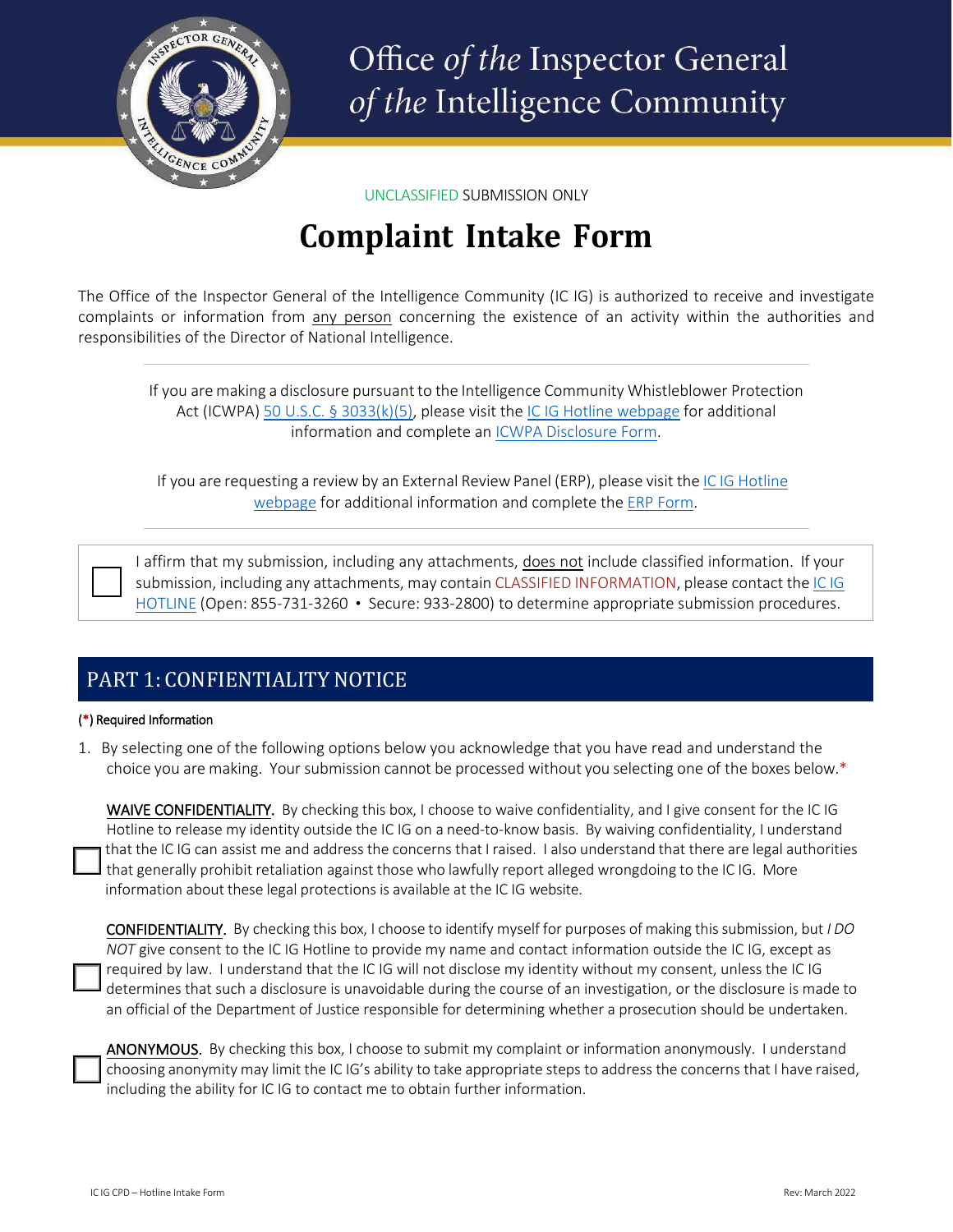

Office of the Inspector General of the Intelligence Community

UNCLASSIFIED SUBMISSION ONLY

# **Complaint Intake Form**

The Office of the Inspector General of the Intelligence Community (IC IG) is authorized to receive and investigate complaints or information from any person concerning the existence of an activity within the authorities and responsibilities of the Director of National Intelligence.

If you are making a disclosure pursuant to the Intelligence Community Whistleblower Protection Act (ICWPA) [50 U.S.C. § 3033\(k\)\(5\), p](https://www.govinfo.gov/content/pkg/USCODE-2015-title50/html/USCODE-2015-title50-chap44-subchapI-sec3033.htm)lease visit th[e IC IG Hotline webpage](https://www.dni.gov/index.php/who-we-are/organizations/icig/icig-hotline) for additional information and complete a[n ICWPA Disclosure Form.](https://www.dni.gov/files/ICIG/Documents/Hotline/Urgent%20Concern%20Disclosure%20Form.pdf)

If you are requesting a review by an External Review Panel (ERP), please visit the IC IG [Hotline](https://www.dni.gov/index.php/who-we-are/organizations/icig/icig-hotline) [webpage](https://www.dni.gov/index.php/who-we-are/organizations/icig/icig-hotline) for additional information and complete the [ERP Form.](https://www.dni.gov/files/ICIG/Documents/Hotline/ERP%20Form.pdf)

I affirm that my submission, including any attachments, does not include classified information. If your submission, including any attachments, may contain CLASSIFIED INFORMATION, please contact the IC [IG](https://www.dni.gov/index.php/who-we-are/organizations/icig/icig-who-we-are) [HOTLINE](https://www.dni.gov/index.php/who-we-are/organizations/icig/icig-who-we-are) (Open: 855-731-3260 • Secure: 933-2800) to determine appropriate submission procedures.

# PART 1: CONFIENTIALITY NOTICE

#### (\*) Required Information

1. By selecting one of the following options below you acknowledge that you have read and understand the choice you are making. Your submission cannot be processed without you selecting one of the boxes below.\*

WAIVE CONFIDENTIALITY. By checking this box, I choose to waive confidentiality, and I give consent for the IC IG Hotline to release my identity outside the IC IG on a need-to-know basis. By waiving confidentiality, I understand that the IC IG can assist me and address the concerns that I raised. I also understand that there are legal authorities that generally prohibit retaliation against those who lawfully report alleged wrongdoing to the IC IG. More information about these legal protections is available at the IC IG website.

CONFIDENTIALITY. By checking this box, I choose to identify myself for purposes of making thissubmission, but *I DO NOT* give consent to the IC IG Hotline to provide my name and contact information outside the IC IG, except as required by law. I understand that the IC IG will not disclose my identity without my consent, unless the IC IG determines that such a disclosure is unavoidable during the course of an investigation, or the disclosure is made to an official of the Department of Justice responsible for determining whether a prosecution should be undertaken.

ANONYMOUS. By checking this box, I choose to submit my complaint or information anonymously. I understand choosing anonymity may limit the IC IG's ability to take appropriate steps to address the concerns that I have raised, including the ability for IC IG to contact me to obtain further information.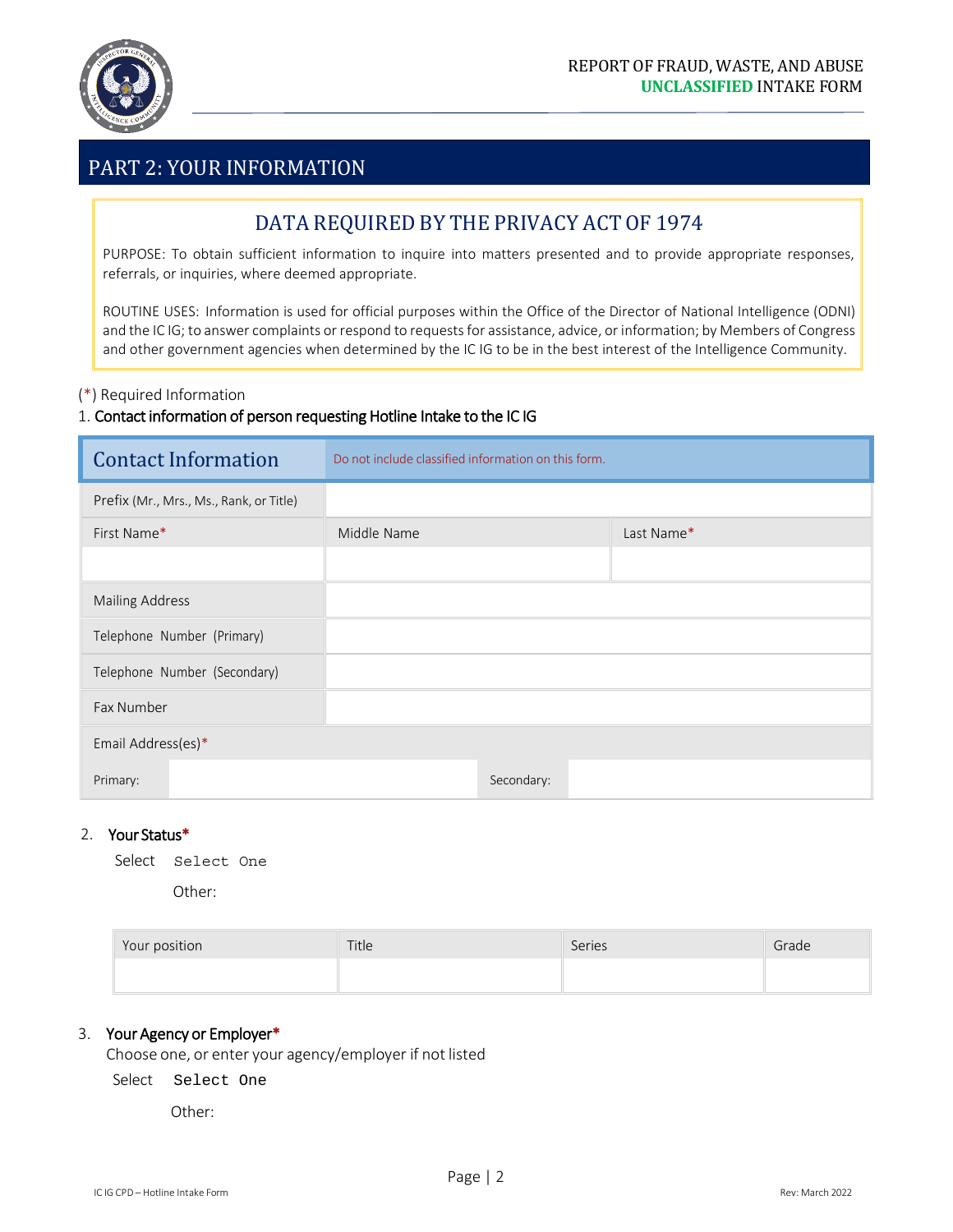

### PART 2: YOUR INFORMATION

### DATA REQUIRED BY THE PRIVACY ACT OF 1974

PURPOSE: To obtain sufficient information to inquire into matters presented and to provide appropriate responses, referrals, or inquiries, where deemed appropriate.

ROUTINE USES: Information is used for official purposes within the Office of the Director of National Intelligence (ODNI) and the IC IG; to answer complaints or respond to requests for assistance, advice, or information; by Members of Congress and other government agencies when determined by the IC IG to be in the best interest of the Intelligence Community.

#### (\*) Required Information

#### 1. Contact information of person requesting Hotline Intake to the IC IG

| <b>Contact Information</b>              | Do not include classified information on this form. |            |  |
|-----------------------------------------|-----------------------------------------------------|------------|--|
| Prefix (Mr., Mrs., Ms., Rank, or Title) |                                                     |            |  |
| First Name*                             | Middle Name                                         | Last Name* |  |
|                                         |                                                     |            |  |
| <b>Mailing Address</b>                  |                                                     |            |  |
| Telephone Number (Primary)              |                                                     |            |  |
| Telephone Number (Secondary)            |                                                     |            |  |
| Fax Number                              |                                                     |            |  |
| Email Address(es)*                      |                                                     |            |  |
| Primary:                                | Secondary:                                          |            |  |

#### 2. Your Status\*

| Select | Select One |  |
|--------|------------|--|
|--------|------------|--|

Other:

| Your position | Title | Series | Grade |
|---------------|-------|--------|-------|
|               |       |        |       |

#### 3. Your Agency or Employer\*

Choose one, or enter your agency/employer if not listed

Select Select One

Other: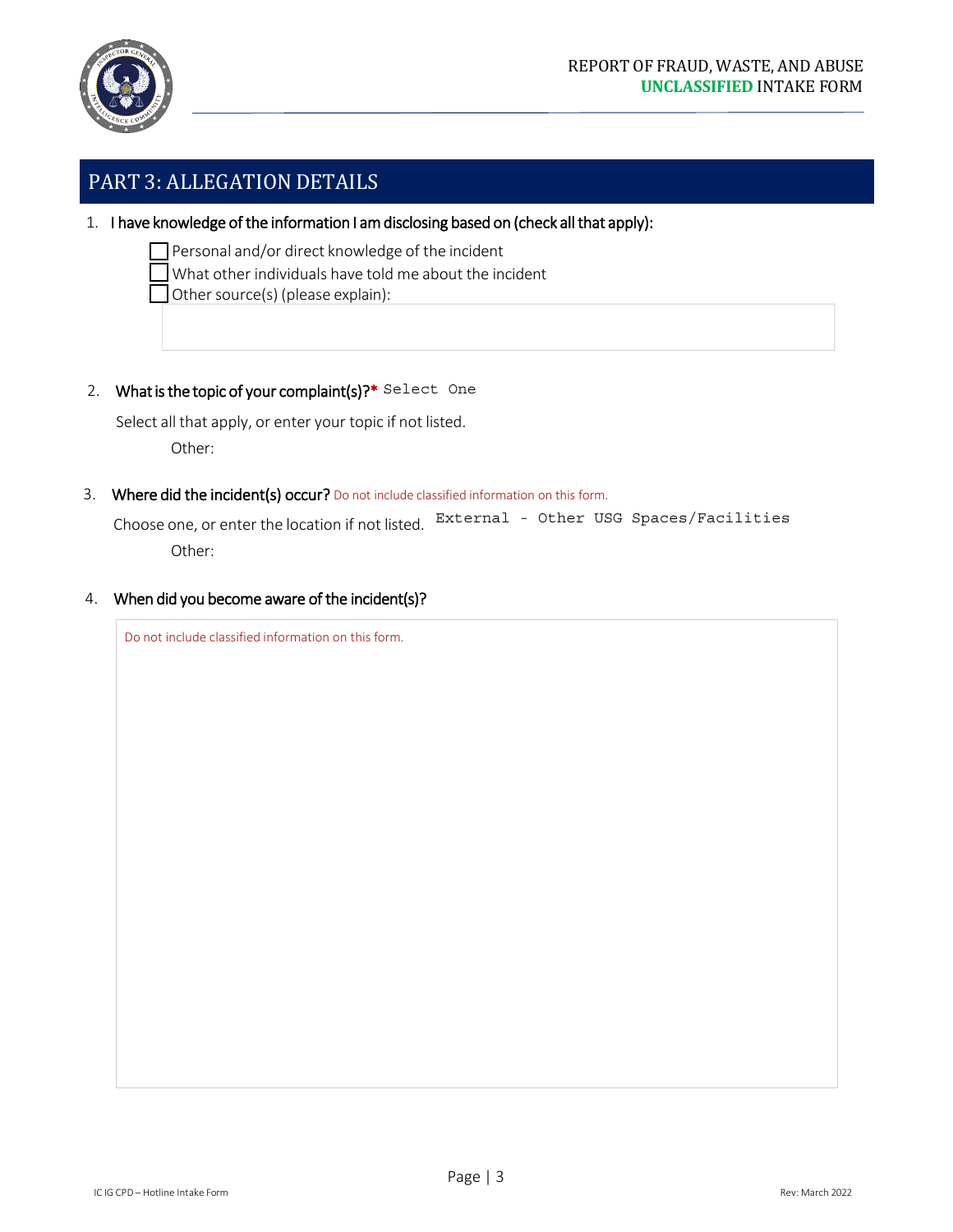

### PART 3: ALLEGATION DETAILS

1. I have knowledge of the information I am disclosing based on (check all that apply):

Personal and/or direct knowledge of the incident

What other individuals have told me about the incident

Other source(s) (please explain):

2. What is the topic of your complaint(s)?\* Select One

Select all that apply, or enter your topic if not listed. Other:

3. Where did the incident(s) occur? Do not include classified information on this form.

Choose one, or enter the location if not listed. External - Other USG Spaces/Facilities Other:

4. When did you become aware of the incident(s)?

Do not include classified information on this form.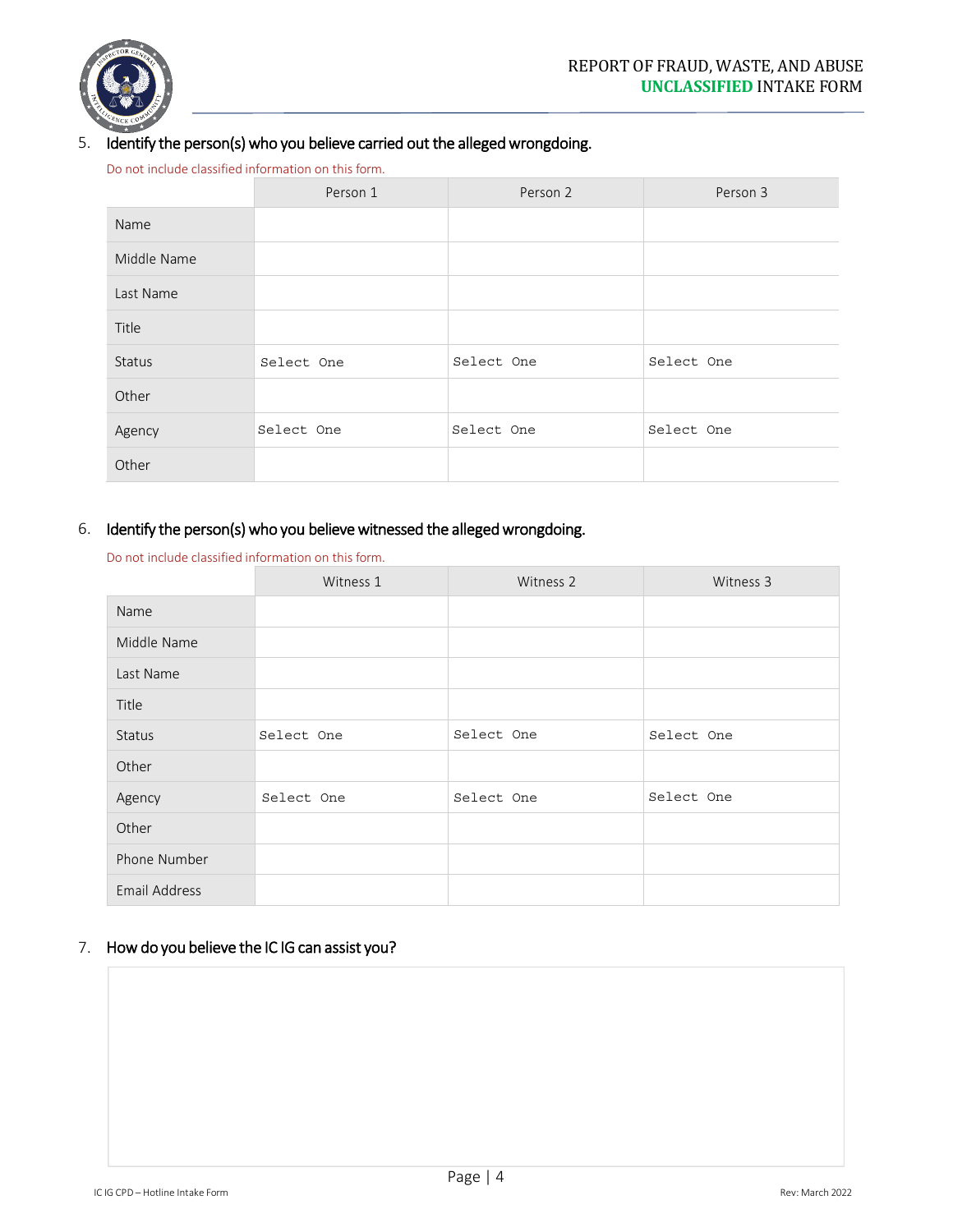

### 5. Identify the person(s) who you believe carried out the alleged wrongdoing.

Do not include classified information on this form.

|               | Person 1   | Person 2   | Person 3   |
|---------------|------------|------------|------------|
| Name          |            |            |            |
| Middle Name   |            |            |            |
| Last Name     |            |            |            |
| Title         |            |            |            |
| <b>Status</b> | Select One | Select One | Select One |
| Other         |            |            |            |
| Agency        | Select One | Select One | Select One |
| Other         |            |            |            |

### 6. Identify the person(s) who you believe witnessed the alleged wrongdoing.

| <b>Status</b>                                       | Select One                                                               | Select One | Select One |  |
|-----------------------------------------------------|--------------------------------------------------------------------------|------------|------------|--|
| Other                                               |                                                                          |            |            |  |
| Agency                                              | Select One                                                               | Select One | Select One |  |
| Other                                               |                                                                          |            |            |  |
| Do not include classified information on this form. | Identify the person(s) who you believe witnessed the alleged wrongdoing. |            |            |  |
|                                                     | Witness 1                                                                | Witness 2  | Witness 3  |  |
| Name                                                |                                                                          |            |            |  |
| Middle Name                                         |                                                                          |            |            |  |
| Last Name                                           |                                                                          |            |            |  |
| Title                                               |                                                                          |            |            |  |
| <b>Status</b>                                       | Select One                                                               | Select One | Select One |  |
| Other                                               |                                                                          |            |            |  |
| Agency                                              | Select One                                                               | Select One | Select One |  |
| Other                                               |                                                                          |            |            |  |
| Phone Number                                        |                                                                          |            |            |  |
| <b>Email Address</b>                                |                                                                          |            |            |  |

### 7. How do you believe the IC IG can assist you?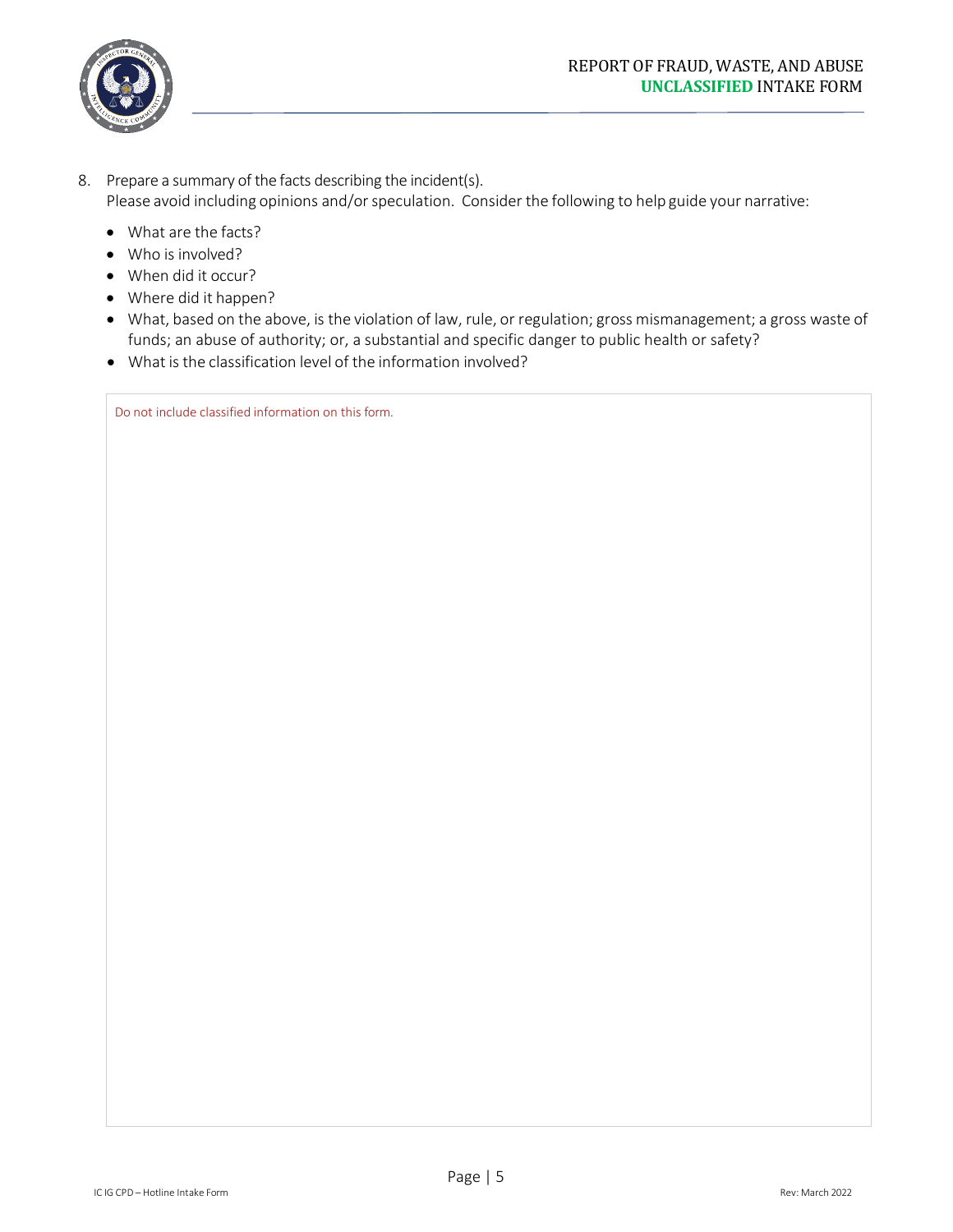

- 8. Prepare a summary of the facts describing the incident(s). Please avoid including opinions and/or speculation. Consider the following to help guide your narrative:
	- What are the facts?
	- Who is involved?
	- When did it occur?
	- Where did it happen?
	- What, based on the above, is the violation of law, rule, or regulation; gross mismanagement; a gross waste of funds; an abuse of authority; or, a substantial and specific danger to public health or safety?
	- What is the classification level of the information involved?

Do not include classified information on this form.